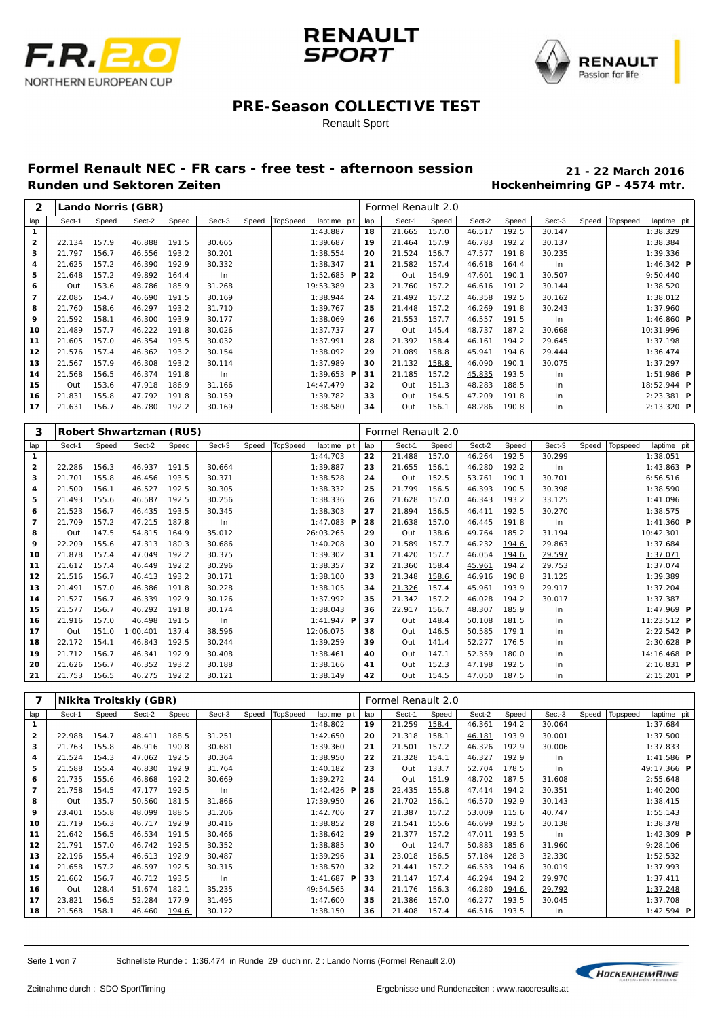





#### Renault Sport

| 2              |        |       | Lando Norris (GBR) |       |        |       |                 |              |     | Formel Renault 2.0 |       |        |       |        |       |          |                      |
|----------------|--------|-------|--------------------|-------|--------|-------|-----------------|--------------|-----|--------------------|-------|--------|-------|--------|-------|----------|----------------------|
| lap            | Sect-1 | Speed | Sect-2             | Speed | Sect-3 | Speed | <b>TopSpeed</b> | laptime pit  | lap | Sect-1             | Speed | Sect-2 | Speed | Sect-3 | Speed | Topspeed | laptime pit          |
| 1              |        |       |                    |       |        |       |                 | 1:43.887     | 18  | 21.665             | 157.0 | 46.517 | 192.5 | 30.147 |       |          | 1:38.329             |
| $\overline{2}$ | 22.134 | 157.9 | 46.888             | 191.5 | 30.665 |       |                 | 1:39.687     | 19  | 21.464             | 157.9 | 46.783 | 192.2 | 30.137 |       |          | 1:38.384             |
| 3              | 21.797 | 156.7 | 46.556             | 193.2 | 30.201 |       |                 | 1:38.554     | 20  | 21.524             | 156.7 | 47.577 | 191.8 | 30.235 |       |          | 1:39.336             |
| 4              | 21.625 | 157.2 | 46.390             | 192.9 | 30.332 |       |                 | 1:38.347     | 21  | 21.582             | 157.4 | 46.618 | 164.4 | ln     |       |          | 1:46.342 <b>P</b>    |
| 5              | 21.648 | 157.2 | 49.892             | 164.4 | In     |       |                 | $1:52.685$ P | 22  | Out                | 154.9 | 47.601 | 190.1 | 30.507 |       |          | 9:50.440             |
| 6              | Out    | 153.6 | 48.786             | 185.9 | 31.268 |       |                 | 19:53.389    | 23  | 21.760             | 157.2 | 46.616 | 191.2 | 30.144 |       |          | 1:38.520             |
| $\overline{7}$ | 22.085 | 154.7 | 46.690             | 191.5 | 30.169 |       |                 | 1:38.944     | 24  | 21.492             | 157.2 | 46.358 | 192.5 | 30.162 |       |          | 1:38.012             |
| 8              | 21.760 | 158.6 | 46.297             | 193.2 | 31.710 |       |                 | 1:39.767     | 25  | 21.448             | 157.2 | 46.269 | 191.8 | 30.243 |       |          | 1:37.960             |
| 9              | 21.592 | 158.1 | 46.300             | 193.9 | 30.177 |       |                 | 1:38.069     | 26  | 21.553             | 157.7 | 46.557 | 191.5 | $\ln$  |       |          | 1:46.860 $P$         |
| 10             | 21.489 | 157.7 | 46.222             | 191.8 | 30.026 |       |                 | 1:37.737     | 27  | Out                | 145.4 | 48.737 | 187.2 | 30.668 |       |          | 10:31.996            |
| 11             | 21.605 | 157.0 | 46.354             | 193.5 | 30.032 |       |                 | 1:37.991     | 28  | 21.392             | 158.4 | 46.161 | 194.2 | 29.645 |       |          | 1:37.198             |
| 12             | 21.576 | 157.4 | 46.362             | 193.2 | 30.154 |       |                 | 1:38.092     | 29  | 21.089             | 158.8 | 45.941 | 194.6 | 29.444 |       |          | 1:36.474             |
| 13             | 21.567 | 157.9 | 46.308             | 193.2 | 30.114 |       |                 | 1:37.989     | 30  | 21.132             | 158.8 | 46.090 | 190.1 | 30.075 |       |          | 1:37.297             |
| 14             | 21.568 | 156.5 | 46.374             | 191.8 | $\ln$  |       |                 | $1:39.653$ P | 31  | 21.185             | 157.2 | 45.835 | 193.5 | ln     |       |          | $1:51.986$ <b>P</b>  |
| 15             | Out    | 153.6 | 47.918             | 186.9 | 31.166 |       |                 | 14:47.479    | 32  | Out                | 151.3 | 48.283 | 188.5 | ln     |       |          | 18:52.944 P          |
| 16             | 21.831 | 155.8 | 47.792             | 191.8 | 30.159 |       |                 | 1:39.782     | 33  | Out                | 154.5 | 47.209 | 191.8 | ln     |       |          | $2: 23.381$ <b>P</b> |
| 17             | 21.631 | 156.7 | 46.780             | 192.2 | 30.169 |       |                 | 1:38.580     | 34  | Out                | 156.1 | 48.286 | 190.8 | $\ln$  |       |          | $2:13.320$ <b>P</b>  |

| з              |        |       | <b>Robert Shwartzman (RUS)</b> |       |        |       |                 |              |     | Formel Renault 2.0 |       |        |       |        |       |          |                      |  |
|----------------|--------|-------|--------------------------------|-------|--------|-------|-----------------|--------------|-----|--------------------|-------|--------|-------|--------|-------|----------|----------------------|--|
| lap            | Sect-1 | Speed | Sect-2                         | Speed | Sect-3 | Speed | <b>TopSpeed</b> | laptime pit  | lap | Sect-1             | Speed | Sect-2 | Speed | Sect-3 | Speed | Topspeed | laptime pit          |  |
| 1              |        |       |                                |       |        |       |                 | 1:44.703     | 22  | 21.488             | 157.0 | 46.264 | 192.5 | 30.299 |       |          | 1:38.051             |  |
| 2              | 22.286 | 156.3 | 46.937                         | 191.5 | 30.664 |       |                 | 1:39.887     | 23  | 21.655             | 156.1 | 46.280 | 192.2 | $\ln$  |       |          | 1:43.863 $P$         |  |
| 3              | 21.701 | 155.8 | 46.456                         | 193.5 | 30.371 |       |                 | 1:38.528     | 24  | Out                | 152.5 | 53.761 | 190.1 | 30.701 |       |          | 6:56.516             |  |
| 4              | 21.500 | 156.1 | 46.527                         | 192.5 | 30.305 |       |                 | 1:38.332     | 25  | 21.799             | 156.5 | 46.393 | 190.5 | 30.398 |       |          | 1:38.590             |  |
| 5              | 21.493 | 155.6 | 46.587                         | 192.5 | 30.256 |       |                 | 1:38.336     | 26  | 21.628             | 157.0 | 46.343 | 193.2 | 33.125 |       |          | 1:41.096             |  |
| 6              | 21.523 | 156.7 | 46.435                         | 193.5 | 30.345 |       |                 | 1:38.303     | 27  | 21.894             | 156.5 | 46.411 | 192.5 | 30.270 |       |          | 1:38.575             |  |
| $\overline{7}$ | 21.709 | 157.2 | 47.215                         | 187.8 | ln     |       |                 | 1:47.083 $P$ | 28  | 21.638             | 157.0 | 46.445 | 191.8 | ln     |       |          | $1:41.360$ <b>P</b>  |  |
| 8              | Out    | 147.5 | 54.815                         | 164.9 | 35.012 |       |                 | 26:03.265    | 29  | Out                | 138.6 | 49.764 | 185.2 | 31.194 |       |          | 10:42.301            |  |
| 9              | 22.209 | 155.6 | 47.313                         | 180.3 | 30.686 |       |                 | 1:40.208     | 30  | 21.589             | 157.7 | 46.232 | 194.6 | 29.863 |       |          | 1:37.684             |  |
| 10             | 21.878 | 157.4 | 47.049                         | 192.2 | 30.375 |       |                 | 1:39.302     | 31  | 21.420             | 157.7 | 46.054 | 194.6 | 29.597 |       |          | 1:37.071             |  |
| 11             | 21.612 | 157.4 | 46.449                         | 192.2 | 30.296 |       |                 | 1:38.357     | 32  | 21.360             | 158.4 | 45.961 | 194.2 | 29.753 |       |          | 1:37.074             |  |
| 12             | 21.516 | 156.7 | 46.413                         | 193.2 | 30.171 |       |                 | 1:38.100     | 33  | 21.348             | 158.6 | 46.916 | 190.8 | 31.125 |       |          | 1:39.389             |  |
| 13             | 21.491 | 157.0 | 46.386                         | 191.8 | 30.228 |       |                 | 1:38.105     | 34  | 21.326             | 157.4 | 45.961 | 193.9 | 29.917 |       |          | 1:37.204             |  |
| 14             | 21.527 | 156.7 | 46.339                         | 192.9 | 30.126 |       |                 | 1:37.992     | 35  | 21.342             | 157.2 | 46.028 | 194.2 | 30.017 |       |          | 1:37.387             |  |
| 15             | 21.577 | 156.7 | 46.292                         | 191.8 | 30.174 |       |                 | 1:38.043     | 36  | 22.917             | 156.7 | 48.307 | 185.9 | In     |       |          | 1:47.969 <b>P</b>    |  |
| 16             | 21.916 | 157.0 | 46.498                         | 191.5 | ln     |       |                 | $1:41.947$ P | 37  | Out                | 148.4 | 50.108 | 181.5 | ln     |       |          | $11:23.512$ <b>P</b> |  |
| 17             | Out    | 151.0 | 1:00.401                       | 137.4 | 38.596 |       |                 | 12:06.075    | 38  | Out                | 146.5 | 50.585 | 179.1 | ln     |       |          | $2: 22.542$ <b>P</b> |  |
| 18             | 22.172 | 154.1 | 46.843                         | 192.5 | 30.244 |       |                 | 1:39.259     | 39  | Out                | 141.4 | 52.277 | 176.5 | ln     |       |          | $2:30.628$ <b>P</b>  |  |
| 19             | 21.712 | 156.7 | 46.341                         | 192.9 | 30.408 |       |                 | 1:38.461     | 40  | Out                | 147.1 | 52.359 | 180.0 | $\ln$  |       |          | 14:16.468 P          |  |
| 20             | 21.626 | 156.7 | 46.352                         | 193.2 | 30.188 |       |                 | 1:38.166     | 41  | Out                | 152.3 | 47.198 | 192.5 | ln     |       |          | $2:16.831$ P         |  |
| 21             | 21.753 | 156.5 | 46.275                         | 192.2 | 30.121 |       |                 | 1:38.149     | 42  | Out                | 154.5 | 47.050 | 187.5 | ln     |       |          | $2:15.201$ P         |  |

|                         |        |       | Nikita Troitskiy (GBR) |       |        |       |          |              |     | Formel Renault 2.0 |       |        |       |        |       |          |                         |  |
|-------------------------|--------|-------|------------------------|-------|--------|-------|----------|--------------|-----|--------------------|-------|--------|-------|--------|-------|----------|-------------------------|--|
| lap                     | Sect-1 | Speed | Sect-2                 | Speed | Sect-3 | Speed | TopSpeed | laptime pit  | lap | Sect-1             | Speed | Sect-2 | Speed | Sect-3 | Speed | Topspeed | laptime pit             |  |
| $\mathbf{1}$            |        |       |                        |       |        |       |          | 1:48.802     | 19  | 21.259             | 158.4 | 46.361 | 194.2 | 30.064 |       |          | 1:37.684                |  |
| $\overline{\mathbf{2}}$ | 22.988 | 154.7 | 48.411                 | 188.5 | 31.251 |       |          | 1:42.650     | 20  | 21.318             | 158.1 | 46.181 | 193.9 | 30.001 |       |          | 1:37.500                |  |
| 3                       | 21.763 | 155.8 | 46.916                 | 190.8 | 30.681 |       |          | 1:39.360     | 21  | 21.501             | 157.2 | 46.326 | 192.9 | 30.006 |       |          | 1:37.833                |  |
| 4                       | 21.524 | 154.3 | 47.062                 | 192.5 | 30.364 |       |          | 1:38.950     | 22  | 21.328             | 154.1 | 46.327 | 192.9 | In     |       |          | $1:41.586$ <b>P</b>     |  |
| 5                       | 21.588 | 155.4 | 46.830                 | 192.9 | 31.764 |       |          | 1:40.182     | 23  | Out                | 133.7 | 52.704 | 178.5 | $\ln$  |       |          | 49:17.366 P             |  |
| 6                       | 21.735 | 155.6 | 46.868                 | 192.2 | 30.669 |       |          | 1:39.272     | 24  | Out                | 151.9 | 48.702 | 187.5 | 31.608 |       |          | 2:55.648                |  |
| 7                       | 21.758 | 154.5 | 47.177                 | 192.5 | $\ln$  |       |          | 1:42.426 $P$ | 25  | 22.435             | 155.8 | 47.414 | 194.2 | 30.351 |       |          | 1:40.200                |  |
| 8                       | Out    | 135.7 | 50.560                 | 181.5 | 31.866 |       |          | 17:39.950    | 26  | 21.702             | 156.1 | 46.570 | 192.9 | 30.143 |       |          | 1:38.415                |  |
| 9                       | 23.401 | 155.8 | 48.099                 | 188.5 | 31.206 |       |          | 1:42.706     | 27  | 21.387             | 157.2 | 53.009 | 115.6 | 40.747 |       |          | 1:55.143                |  |
| 10                      | 21.719 | 156.3 | 46.717                 | 192.9 | 30.416 |       |          | 1:38.852     | 28  | 21.541             | 155.6 | 46.699 | 193.5 | 30.138 |       |          | 1:38.378                |  |
| 11                      | 21.642 | 156.5 | 46.534                 | 191.5 | 30.466 |       |          | 1:38.642     | 29  | 21.377             | 157.2 | 47.011 | 193.5 | In     |       |          | 1:42.309 $P$            |  |
| 12                      | 21.791 | 157.0 | 46.742                 | 192.5 | 30.352 |       |          | 1:38.885     | 30  | Out                | 124.7 | 50.883 | 185.6 | 31.960 |       |          | 9:28.106                |  |
| 13                      | 22.196 | 155.4 | 46.613                 | 192.9 | 30.487 |       |          | 1:39.296     | 31  | 23.018             | 156.5 | 57.184 | 128.3 | 32.330 |       |          | 1:52.532                |  |
| 14                      | 21.658 | 157.2 | 46.597                 | 192.5 | 30.315 |       |          | 1:38.570     | 32  | 21.441             | 157.2 | 46.533 | 194.6 | 30.019 |       |          | 1:37.993                |  |
| 15                      | 21.662 | 156.7 | 46.712                 | 193.5 | In     |       |          | 1:41.687 $P$ | 33  | 21.147             | 157.4 | 46.294 | 194.2 | 29.970 |       |          | 1:37.411                |  |
| 16                      | Out    | 128.4 | 51.674                 | 182.1 | 35.235 |       |          | 49:54.565    | 34  | 21.176             | 156.3 | 46.280 | 194.6 | 29.792 |       |          | 1:37.248                |  |
| 17                      | 23.821 | 156.5 | 52.284                 | 177.9 | 31.495 |       |          | 1:47.600     | 35  | 21.386             | 157.0 | 46.277 | 193.5 | 30.045 |       |          | 1:37.708                |  |
| 18                      | 21.568 | 158.1 | 46.460                 | 194.6 | 30.122 |       |          | 1:38.150     | 36  | 21.408             | 157.4 | 46.516 | 193.5 | ln     |       |          | 1:42.594 $\blacksquare$ |  |

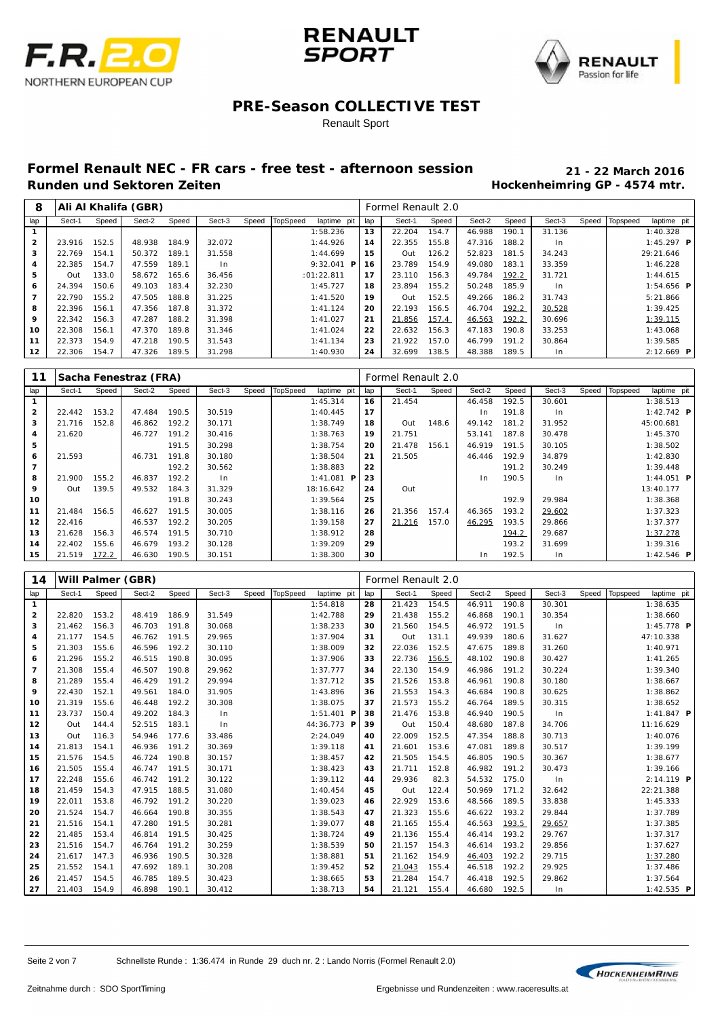





#### Renault Sport

| 8            |        |       | Ali Al Khalifa (GBR) |       |        |       |          |                     |     | Formel Renault 2.0 |       |        |       |                |       |          |                   |  |
|--------------|--------|-------|----------------------|-------|--------|-------|----------|---------------------|-----|--------------------|-------|--------|-------|----------------|-------|----------|-------------------|--|
| lap          | Sect-1 | Speed | Sect-2               | Speed | Sect-3 | Speed | TopSpeed | laptime pit         | lap | Sect-1             | Speed | Sect-2 | Speed | Sect-3         | Speed | Topspeed | laptime pit       |  |
|              |        |       |                      |       |        |       |          | 1:58.236            | 13  | 22.204             | 154.7 | 46.988 | 190.1 | 31.136         |       |          | 1:40.328          |  |
| $\mathbf{2}$ | 23.916 | 152.5 | 48.938               | 184.9 | 32.072 |       |          | 1:44.926            | 14  | 22.355             | 155.8 | 47.316 | 188.2 | 1 <sub>n</sub> |       |          | 1:45.297 <b>P</b> |  |
| з            | 22.769 | 154.1 | 50.372               | 189.1 | 31.558 |       |          | 1:44.699            | 15  | Out                | 126.2 | 52.823 | 181.5 | 34.243         |       |          | 29:21.646         |  |
| 4            | 22.385 | 154.7 | 47.559               | 189.1 | In.    |       |          | $9:32.041$ <b>P</b> | 16  | 23.789             | 154.9 | 49.080 | 183.1 | 33.359         |       |          | 1:46.228          |  |
| 5            | Out    | 133.0 | 58.672               | 165.6 | 36.456 |       |          | :01:22.811          | 17  | 23.110             | 156.3 | 49.784 | 192.2 | 31.721         |       |          | 1:44.615          |  |
| 6            | 24.394 | 150.6 | 49.103               | 183.4 | 32.230 |       |          | 1:45.727            | 18  | 23.894             | 155.2 | 50.248 | 185.9 | ln             |       |          | $1:54.656$ P      |  |
| 7            | 22.790 | 155.2 | 47.505               | 188.8 | 31.225 |       |          | 1:41.520            | 19  | Out                | 152.5 | 49.266 | 186.2 | 31.743         |       |          | 5:21.866          |  |
| 8            | 22.396 | 156.1 | 47.356               | 187.8 | 31.372 |       |          | 1:41.124            | 20  | 22.193             | 156.5 | 46.704 | 192.2 | 30.528         |       |          | 1:39.425          |  |
| 9            | 22.342 | 156.3 | 47.287               | 188.2 | 31.398 |       |          | 1:41.027            | 21  | 21.856             | 157.4 | 46.563 | 192.2 | 30.696         |       |          | 1:39.115          |  |
| 10           | 22.308 | 156.1 | 47.370               | 189.8 | 31.346 |       |          | 1:41.024            | 22  | 22.632             | 156.3 | 47.183 | 190.8 | 33.253         |       |          | 1:43.068          |  |
| 11           | 22.373 | 154.9 | 47.218               | 190.5 | 31.543 |       |          | 1:41.134            | 23  | 21.922             | 157.0 | 46.799 | 191.2 | 30.864         |       |          | 1:39.585          |  |
| 12           | 22.306 | 154.7 | 47.326               | 189.5 | 31.298 |       |          | 1:40.930            | 24  | 32.699             | 138.5 | 48.388 | 189.5 | In             |       |          | $2:12.669$ P      |  |

| 11             |        |       | Sacha Fenestraz (FRA) |       |        |       |                 |              |     | Formel Renault 2.0 |       |        |       |        |       |          |                         |  |
|----------------|--------|-------|-----------------------|-------|--------|-------|-----------------|--------------|-----|--------------------|-------|--------|-------|--------|-------|----------|-------------------------|--|
| lap            | Sect-1 | Speed | Sect-2                | Speed | Sect-3 | Speed | <b>TopSpeed</b> | laptime pit  | lap | Sect-1             | Speed | Sect-2 | Speed | Sect-3 | Speed | Topspeed | laptime pit             |  |
|                |        |       |                       |       |        |       |                 | 1:45.314     | 16  | 21.454             |       | 46.458 | 192.5 | 30.601 |       |          | 1:38.513                |  |
| $\overline{2}$ | 22.442 | 153.2 | 47.484                | 190.5 | 30.519 |       |                 | 1:40.445     | 17  |                    |       | In.    | 191.8 | $\ln$  |       |          | 1:42.742 $\blacksquare$ |  |
| з              | 21.716 | 152.8 | 46.862                | 192.2 | 30.171 |       |                 | 1:38.749     | 18  | Out                | 148.6 | 49.142 | 181.2 | 31.952 |       |          | 45:00.681               |  |
| 4              | 21.620 |       | 46.727                | 191.2 | 30.416 |       |                 | 1:38.763     | 19  | 21.751             |       | 53.141 | 187.8 | 30.478 |       |          | 1:45.370                |  |
| 5              |        |       |                       | 191.5 | 30.298 |       |                 | 1:38.754     | 20  | 21.478             | 156.1 | 46.919 | 191.5 | 30.105 |       |          | 1:38.502                |  |
| 6              | 21.593 |       | 46.731                | 191.8 | 30.180 |       |                 | 1:38.504     | 21  | 21.505             |       | 46.446 | 192.9 | 34.879 |       |          | 1:42.830                |  |
| 7              |        |       |                       | 192.2 | 30.562 |       |                 | 1:38.883     | 22  |                    |       |        | 191.2 | 30.249 |       |          | 1:39.448                |  |
| 8              | 21.900 | 155.2 | 46.837                | 192.2 | $\ln$  |       |                 | $1:41.081$ P | 23  |                    |       | In.    | 190.5 | $\ln$  |       |          | 1:44.051 $P$            |  |
| 9              | Out    | 139.5 | 49.532                | 184.3 | 31.329 |       |                 | 18:16.642    | 24  | Out                |       |        |       |        |       |          | 13:40.177               |  |
| 10             |        |       |                       | 191.8 | 30.243 |       |                 | 1:39.564     | 25  |                    |       |        | 192.9 | 29.984 |       |          | 1:38.368                |  |
| 11             | 21.484 | 156.5 | 46.627                | 191.5 | 30.005 |       |                 | 1:38.116     | 26  | 21.356             | 157.4 | 46.365 | 193.2 | 29.602 |       |          | 1:37.323                |  |
| 12             | 22.416 |       | 46.537                | 192.2 | 30.205 |       |                 | 1:39.158     | 27  | 21.216             | 157.0 | 46.295 | 193.5 | 29.866 |       |          | 1:37.377                |  |
| 13             | 21.628 | 156.3 | 46.574                | 191.5 | 30.710 |       |                 | 1:38.912     | 28  |                    |       |        | 194.2 | 29.687 |       |          | 1:37.278                |  |
| 14             | 22.402 | 155.6 | 46.679                | 193.2 | 30.128 |       |                 | 1:39.209     | 29  |                    |       |        | 193.2 | 31.699 |       |          | 1:39.316                |  |
| 15             | 21.519 | 172.2 | 46.630                | 190.5 | 30.151 |       |                 | 1:38.300     | 30  |                    |       | In.    | 192.5 | $\ln$  |       |          | 1:42.546 $P$            |  |

| 14                      |              |       | Will Palmer (GBR) |       |        |       |                 |              |     | Formel Renault 2.0 |       |        |       |        |       |          |                     |
|-------------------------|--------------|-------|-------------------|-------|--------|-------|-----------------|--------------|-----|--------------------|-------|--------|-------|--------|-------|----------|---------------------|
| lap                     | Sect-1       | Speed | Sect-2            | Speed | Sect-3 | Speed | <b>TopSpeed</b> | laptime pit  | lap | Sect-1             | Speed | Sect-2 | Speed | Sect-3 | Speed | Topspeed | laptime pit         |
| $\mathbf{1}$            |              |       |                   |       |        |       |                 | 1:54.818     | 28  | 21.423             | 154.5 | 46.911 | 190.8 | 30.301 |       |          | 1:38.635            |
| $\overline{\mathbf{2}}$ | 22.820       | 153.2 | 48.419            | 186.9 | 31.549 |       |                 | 1:42.788     | 29  | 21.438             | 155.2 | 46.868 | 190.1 | 30.354 |       |          | 1:38.660            |
| 3                       | 21.462       | 156.3 | 46.703            | 191.8 | 30.068 |       |                 | 1:38.233     | 30  | 21.560             | 154.5 | 46.972 | 191.5 | ln     |       |          | $1:45.778$ <b>P</b> |
| 4                       | 21.177       | 154.5 | 46.762            | 191.5 | 29.965 |       |                 | 1:37.904     | 31  | Out                | 131.1 | 49.939 | 180.6 | 31.627 |       |          | 47:10.338           |
| 5                       | 21.303       | 155.6 | 46.596            | 192.2 | 30.110 |       |                 | 1:38.009     | 32  | 22.036             | 152.5 | 47.675 | 189.8 | 31.260 |       |          | 1:40.971            |
| 6                       | 21.296       | 155.2 | 46.515            | 190.8 | 30.095 |       |                 | 1:37.906     | 33  | 22.736             | 156.5 | 48.102 | 190.8 | 30.427 |       |          | 1:41.265            |
| $\overline{7}$          | 21.308       | 155.4 | 46.507            | 190.8 | 29.962 |       |                 | 1:37.777     | 34  | 22.130             | 154.9 | 46.986 | 191.2 | 30.224 |       |          | 1:39.340            |
| 8                       | 21.289       | 155.4 | 46.429            | 191.2 | 29.994 |       |                 | 1:37.712     | 35  | 21.526             | 153.8 | 46.961 | 190.8 | 30.180 |       |          | 1:38.667            |
| 9                       | 22.430       | 152.1 | 49.561            | 184.0 | 31.905 |       |                 | 1:43.896     | 36  | 21.553             | 154.3 | 46.684 | 190.8 | 30.625 |       |          | 1:38.862            |
| 10                      | 21.319       | 155.6 | 46.448            | 192.2 | 30.308 |       |                 | 1:38.075     | 37  | 21.573             | 155.2 | 46.764 | 189.5 | 30.315 |       |          | 1:38.652            |
| 11                      | 23.737       | 150.4 | 49.202            | 184.3 | In     |       |                 | $1:51.401$ P | 38  | 21.476             | 153.8 | 46.940 | 190.5 | ln     |       |          | $1:41.847$ <b>P</b> |
| 12                      | Out          | 144.4 | 52.515            | 183.1 | $\ln$  |       |                 | 44:36.773 P  | 39  | Out                | 150.4 | 48.680 | 187.8 | 34.706 |       |          | 11:16.629           |
| 13                      | Out          | 116.3 | 54.946            | 177.6 | 33.486 |       |                 | 2:24.049     | 40  | 22.009             | 152.5 | 47.354 | 188.8 | 30.713 |       |          | 1:40.076            |
| 14                      | 21.813       | 154.1 | 46.936            | 191.2 | 30.369 |       |                 | 1:39.118     | 41  | 21.601             | 153.6 | 47.081 | 189.8 | 30.517 |       |          | 1:39.199            |
| 15                      | 21.576       | 154.5 | 46.724            | 190.8 | 30.157 |       |                 | 1:38.457     | 42  | 21.505             | 154.5 | 46.805 | 190.5 | 30.367 |       |          | 1:38.677            |
| 16                      | 21.505       | 155.4 | 46.747            | 191.5 | 30.171 |       |                 | 1:38.423     | 43  | 21.711             | 152.8 | 46.982 | 191.2 | 30.473 |       |          | 1:39.166            |
| 17                      | 22.248       | 155.6 | 46.742            | 191.2 | 30.122 |       |                 | 1:39.112     | 44  | 29.936             | 82.3  | 54.532 | 175.0 | ln     |       |          | $2:14.119$ P        |
| 18                      | 21.459       | 154.3 | 47.915            | 188.5 | 31.080 |       |                 | 1:40.454     | 45  | Out                | 122.4 | 50.969 | 171.2 | 32.642 |       |          | 22:21.388           |
| 19                      | 22.011       | 153.8 | 46.792            | 191.2 | 30.220 |       |                 | 1:39.023     | 46  | 22.929             | 153.6 | 48.566 | 189.5 | 33.838 |       |          | 1:45.333            |
| 20                      | 21.524       | 154.7 | 46.664            | 190.8 | 30.355 |       |                 | 1:38.543     | 47  | 21.323             | 155.6 | 46.622 | 193.2 | 29.844 |       |          | 1:37.789            |
| 21                      | 21.516       | 154.1 | 47.280            | 191.5 | 30.281 |       |                 | 1:39.077     | 48  | 21.165             | 155.4 | 46.563 | 193.5 | 29.657 |       |          | 1:37.385            |
| 22                      | 21.485       | 153.4 | 46.814            | 191.5 | 30.425 |       |                 | 1:38.724     | 49  | 21.136             | 155.4 | 46.414 | 193.2 | 29.767 |       |          | 1:37.317            |
| 23                      | 21.516       | 154.7 | 46.764            | 191.2 | 30.259 |       |                 | 1:38.539     | 50  | 21.157             | 154.3 | 46.614 | 193.2 | 29.856 |       |          | 1:37.627            |
| 24                      | 21.617       | 147.3 | 46.936            | 190.5 | 30.328 |       |                 | 1:38.881     | 51  | 21.162             | 154.9 | 46.403 | 192.2 | 29.715 |       |          | 1:37.280            |
| 25                      | 21.552       | 154.1 | 47.692            | 189.1 | 30.208 |       |                 | 1:39.452     | 52  | 21.043             | 155.4 | 46.518 | 192.2 | 29.925 |       |          | 1:37.486            |
| 26                      | 21.457       | 154.5 | 46.785            | 189.5 | 30.423 |       |                 | 1:38.665     | 53  | 21.284             | 154.7 | 46.418 | 192.5 | 29.862 |       |          | 1:37.564            |
| 27                      | 21.403 154.9 |       | 46.898            | 190.1 | 30.412 |       |                 | 1:38.713     | 54  | 21.121             | 155.4 | 46.680 | 192.5 | ln     |       |          | $1:42.535$ <b>P</b> |

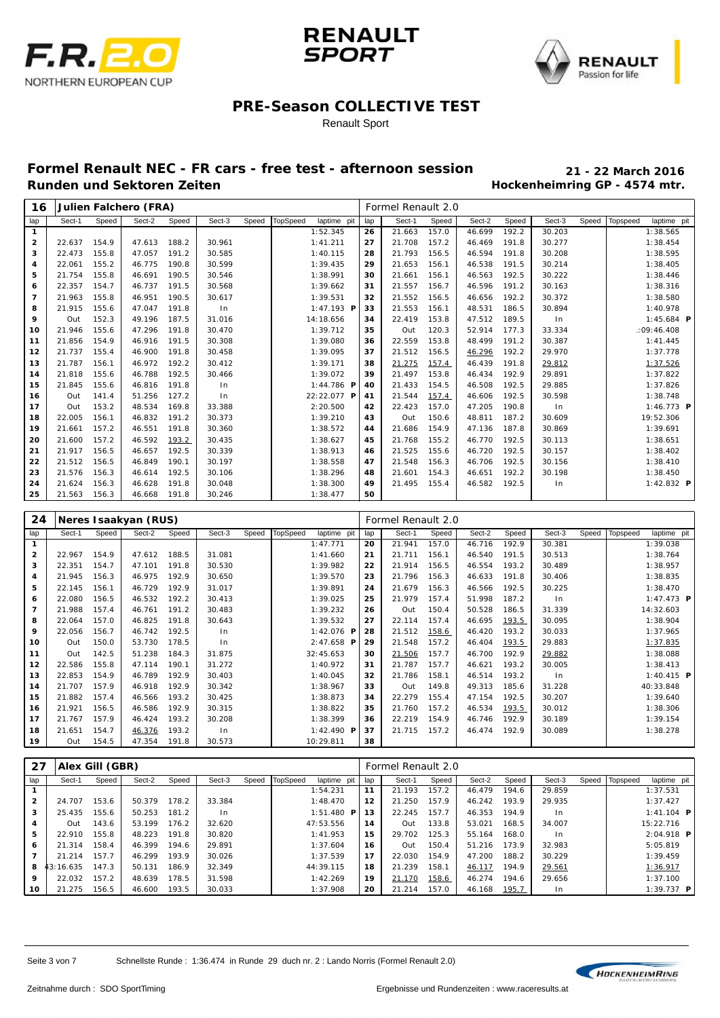





#### Renault Sport

| 16                      |        |       | Julien Falchero (FRA) |       |        |       |                 |              |     | Formel Renault 2.0 |       |        |       |        |       |          |              |  |
|-------------------------|--------|-------|-----------------------|-------|--------|-------|-----------------|--------------|-----|--------------------|-------|--------|-------|--------|-------|----------|--------------|--|
| lap                     | Sect-1 | Speed | Sect-2                | Speed | Sect-3 | Speed | <b>TopSpeed</b> | laptime pit  | lap | Sect-1             | Speed | Sect-2 | Speed | Sect-3 | Speed | Topspeed | laptime pit  |  |
| $\mathbf{1}$            |        |       |                       |       |        |       |                 | 1:52.345     | 26  | 21.663             | 157.0 | 46.699 | 192.2 | 30.203 |       |          | 1:38.565     |  |
| $\overline{\mathbf{2}}$ | 22.637 | 154.9 | 47.613                | 188.2 | 30.961 |       |                 | 1:41.211     | 27  | 21.708             | 157.2 | 46.469 | 191.8 | 30.277 |       |          | 1:38.454     |  |
| 3                       | 22.473 | 155.8 | 47.057                | 191.2 | 30.585 |       |                 | 1:40.115     | 28  | 21.793             | 156.5 | 46.594 | 191.8 | 30.208 |       |          | 1:38.595     |  |
| 4                       | 22.061 | 155.2 | 46.775                | 190.8 | 30.599 |       |                 | 1:39.435     | 29  | 21.653             | 156.1 | 46.538 | 191.5 | 30.214 |       |          | 1:38.405     |  |
| 5                       | 21.754 | 155.8 | 46.691                | 190.5 | 30.546 |       |                 | 1:38.991     | 30  | 21.661             | 156.1 | 46.563 | 192.5 | 30.222 |       |          | 1:38.446     |  |
| 6                       | 22.357 | 154.7 | 46.737                | 191.5 | 30.568 |       |                 | 1:39.662     | 31  | 21.557             | 156.7 | 46.596 | 191.2 | 30.163 |       |          | 1:38.316     |  |
| $\overline{7}$          | 21.963 | 155.8 | 46.951                | 190.5 | 30.617 |       |                 | 1:39.531     | 32  | 21.552             | 156.5 | 46.656 | 192.2 | 30.372 |       |          | 1:38.580     |  |
| 8                       | 21.915 | 155.6 | 47.047                | 191.8 | ln     |       |                 | 1:47.193 $P$ | 33  | 21.553             | 156.1 | 48.531 | 186.5 | 30.894 |       |          | 1:40.978     |  |
| 9                       | Out    | 152.3 | 49.196                | 187.5 | 31.016 |       |                 | 14:18.656    | 34  | 22.419             | 153.8 | 47.512 | 189.5 | ln     |       |          | 1:45.684 $P$ |  |
| 10                      | 21.946 | 155.6 | 47.296                | 191.8 | 30.470 |       |                 | 1:39.712     | 35  | Out                | 120.3 | 52.914 | 177.3 | 33.334 |       |          | :09:46.408   |  |
| 11                      | 21.856 | 154.9 | 46.916                | 191.5 | 30.308 |       |                 | 1:39.080     | 36  | 22.559             | 153.8 | 48.499 | 191.2 | 30.387 |       |          | 1:41.445     |  |
| 12                      | 21.737 | 155.4 | 46.900                | 191.8 | 30.458 |       |                 | 1:39.095     | 37  | 21.512             | 156.5 | 46.296 | 192.2 | 29.970 |       |          | 1:37.778     |  |
| 13                      | 21.787 | 156.1 | 46.972                | 192.2 | 30.412 |       |                 | 1:39.171     | 38  | 21.275             | 157.4 | 46.439 | 191.8 | 29.812 |       |          | 1:37.526     |  |
| 14                      | 21.818 | 155.6 | 46.788                | 192.5 | 30.466 |       |                 | 1:39.072     | 39  | 21.497             | 153.8 | 46.434 | 192.9 | 29.891 |       |          | 1:37.822     |  |
| 15                      | 21.845 | 155.6 | 46.816                | 191.8 | In     |       |                 | 1:44.786 $P$ | 40  | 21.433             | 154.5 | 46.508 | 192.5 | 29.885 |       |          | 1:37.826     |  |
| 16                      | Out    | 141.4 | 51.256                | 127.2 | In.    |       |                 | 22:22.077 P  | 41  | 21.544             | 157.4 | 46.606 | 192.5 | 30.598 |       |          | 1:38.748     |  |
| 17                      | Out    | 153.2 | 48.534                | 169.8 | 33.388 |       |                 | 2:20.500     | 42  | 22.423             | 157.0 | 47.205 | 190.8 | ln     |       |          | 1:46.773 $P$ |  |
| 18                      | 22.005 | 156.1 | 46.832                | 191.2 | 30.373 |       |                 | 1:39.210     | 43  | Out                | 150.6 | 48.811 | 187.2 | 30.609 |       |          | 19:52.306    |  |
| 19                      | 21.661 | 157.2 | 46.551                | 191.8 | 30.360 |       |                 | 1:38.572     | 44  | 21.686             | 154.9 | 47.136 | 187.8 | 30.869 |       |          | 1:39.691     |  |
| 20                      | 21.600 | 157.2 | 46.592                | 193.2 | 30.435 |       |                 | 1:38.627     | 45  | 21.768             | 155.2 | 46.770 | 192.5 | 30.113 |       |          | 1:38.651     |  |
| 21                      | 21.917 | 156.5 | 46.657                | 192.5 | 30.339 |       |                 | 1:38.913     | 46  | 21.525             | 155.6 | 46.720 | 192.5 | 30.157 |       |          | 1:38.402     |  |
| 22                      | 21.512 | 156.5 | 46.849                | 190.1 | 30.197 |       |                 | 1:38.558     | 47  | 21.548             | 156.3 | 46.706 | 192.5 | 30.156 |       |          | 1:38.410     |  |
| 23                      | 21.576 | 156.3 | 46.614                | 192.5 | 30.106 |       |                 | 1:38.296     | 48  | 21.601             | 154.3 | 46.651 | 192.2 | 30.198 |       |          | 1:38.450     |  |
| 24                      | 21.624 | 156.3 | 46.628                | 191.8 | 30.048 |       |                 | 1:38.300     | 49  | 21.495             | 155.4 | 46.582 | 192.5 | ln     |       |          | 1:42.832 $P$ |  |
| 25                      | 21.563 | 156.3 | 46.668                | 191.8 | 30.246 |       |                 | 1:38.477     | 50  |                    |       |        |       |        |       |          |              |  |

| 24           |        |       | Neres I saakyan (RUS) |       |        |       |          |                      |     | Formel Renault 2.0 |       |        |       |        |       |          |                         |  |
|--------------|--------|-------|-----------------------|-------|--------|-------|----------|----------------------|-----|--------------------|-------|--------|-------|--------|-------|----------|-------------------------|--|
| lap          | Sect-1 | Speed | Sect-2                | Speed | Sect-3 | Speed | TopSpeed | laptime pit          | lap | Sect-1             | Speed | Sect-2 | Speed | Sect-3 | Speed | Topspeed | laptime pit             |  |
| $\mathbf{1}$ |        |       |                       |       |        |       |          | 1:47.771             | 20  | 21.941             | 157.0 | 46.716 | 192.9 | 30.381 |       |          | 1:39.038                |  |
| $\mathbf{2}$ | 22.967 | 154.9 | 47.612                | 188.5 | 31.081 |       |          | 1:41.660             | 21  | 21.711             | 156.1 | 46.540 | 191.5 | 30.513 |       |          | 1:38.764                |  |
| 3            | 22.351 | 154.7 | 47.101                | 191.8 | 30.530 |       |          | 1:39.982             | 22  | 21.914             | 156.5 | 46.554 | 193.2 | 30.489 |       |          | 1:38.957                |  |
| 4            | 21.945 | 156.3 | 46.975                | 192.9 | 30.650 |       |          | 1:39.570             | 23  | 21.796             | 156.3 | 46.633 | 191.8 | 30.406 |       |          | 1:38.835                |  |
| 5            | 22.145 | 156.1 | 46.729                | 192.9 | 31.017 |       |          | 1:39.891             | 24  | 21.679             | 156.3 | 46.566 | 192.5 | 30.225 |       |          | 1:38.470                |  |
| 6            | 22.080 | 156.5 | 46.532                | 192.2 | 30.413 |       |          | 1:39.025             | 25  | 21.979             | 157.4 | 51.998 | 187.2 | ln     |       |          | $1:47.473$ <b>P</b>     |  |
| 7            | 21.988 | 157.4 | 46.761                | 191.2 | 30.483 |       |          | 1:39.232             | 26  | Out                | 150.4 | 50.528 | 186.5 | 31.339 |       |          | 14:32.603               |  |
| 8            | 22.064 | 157.0 | 46.825                | 191.8 | 30.643 |       |          | 1:39.532             | 27  | 22.114             | 157.4 | 46.695 | 193.5 | 30.095 |       |          | 1:38.904                |  |
| 9            | 22.056 | 156.7 | 46.742                | 192.5 | $\ln$  |       |          | 1:42.076 $P$         | 28  | 21.512             | 158.6 | 46.420 | 193.2 | 30.033 |       |          | 1:37.965                |  |
| 10           | Out    | 150.0 | 53.730                | 178.5 | ln     |       |          | $2: 47.658$ <b>P</b> | 29  | 21.548             | 157.2 | 46.404 | 193.5 | 29.883 |       |          | 1:37.835                |  |
| 11           | Out    | 142.5 | 51.238                | 184.3 | 31.875 |       |          | 32:45.653            | 30  | 21.506             | 157.7 | 46.700 | 192.9 | 29.882 |       |          | 1:38.088                |  |
| 12           | 22.586 | 155.8 | 47.114                | 190.1 | 31.272 |       |          | 1:40.972             | 31  | 21.787             | 157.7 | 46.621 | 193.2 | 30.005 |       |          | 1:38.413                |  |
| 13           | 22.853 | 154.9 | 46.789                | 192.9 | 30.403 |       |          | 1:40.045             | 32  | 21.786             | 158.1 | 46.514 | 193.2 | $\ln$  |       |          | 1:40.415 $\overline{P}$ |  |
| 14           | 21.707 | 157.9 | 46.918                | 192.9 | 30.342 |       |          | 1:38.967             | 33  | Out                | 149.8 | 49.313 | 185.6 | 31.228 |       |          | 40:33.848               |  |
| 15           | 21.882 | 157.4 | 46.566                | 193.2 | 30.425 |       |          | 1:38.873             | 34  | 22.279             | 155.4 | 47.154 | 192.5 | 30.207 |       |          | 1:39.640                |  |
| 16           | 21.921 | 156.5 | 46.586                | 192.9 | 30.315 |       |          | 1:38.822             | 35  | 21.760             | 157.2 | 46.534 | 193.5 | 30.012 |       |          | 1:38.306                |  |
| 17           | 21.767 | 157.9 | 46.424                | 193.2 | 30.208 |       |          | 1:38.399             | 36  | 22.219             | 154.9 | 46.746 | 192.9 | 30.189 |       |          | 1:39.154                |  |
| 18           | 21.651 | 154.7 | 46.376                | 193.2 | In     |       |          | 1:42.490 $P$         | 37  | 21.715             | 157.2 | 46.474 | 192.9 | 30.089 |       |          | 1:38.278                |  |
| 19           | Out    | 154.5 | 47.354                | 191.8 | 30.573 |       |          | 10:29.811            | 38  |                    |       |        |       |        |       |          |                         |  |

| 27             |           | Alex Gill (GBR) |        |       |        |       |          |                   |     | Formel Renault 2.0 |       |        |       |                |       |          |                     |  |
|----------------|-----------|-----------------|--------|-------|--------|-------|----------|-------------------|-----|--------------------|-------|--------|-------|----------------|-------|----------|---------------------|--|
| lap            | Sect-1    | Speed           | Sect-2 | Speed | Sect-3 | Speed | TopSpeed | laptime pit       | lap | Sect-1             | Speed | Sect-2 | Speed | Sect-3         | Speed | Topspeed | laptime pit         |  |
|                |           |                 |        |       |        |       |          | 1:54.231          | 11  | 21.193             | 157.2 | 46.479 | 194.6 | 29.859         |       |          | 1:37.531            |  |
| $\overline{2}$ | 24.707    | 153.6           | 50.379 | 178.2 | 33.384 |       |          | 1:48.470          | 12  | 21.250             | 157.9 | 46.242 | 193.9 | 29.935         |       |          | 1:37.427            |  |
| 3              | 25.435    | 155.6           | 50.253 | 181.2 | l n    |       |          | 1:51.480 <b>P</b> | 13  | 22.245             | 157.7 | 46.353 | 194.9 | In             |       |          | $1:41.104$ <b>P</b> |  |
| 4              | Out       | 143.6           | 53.199 | 176.2 | 32.620 |       |          | 47:53.556         | 14  | Out                | 133.8 | 53.021 | 168.5 | 34.007         |       |          | 15:22.716           |  |
| 5              | 22.910    | 155.8           | 48.223 | 191.8 | 30.820 |       |          | 1:41.953          | 15  | 29.702             | 125.3 | 55.164 | 168.0 | 1 <sub>n</sub> |       |          | $2:04.918$ <b>P</b> |  |
| 6              | 21.314    | 158.4           | 46.399 | 194.6 | 29.891 |       |          | 1:37.604          | 16  | Out                | 150.4 | 51.216 | 173.9 | 32.983         |       |          | 5:05.819            |  |
|                | 21.214    | 157.7           | 46.299 | 193.9 | 30.026 |       |          | 1:37.539          | 17  | 22.030             | 154.9 | 47.200 | 188.2 | 30.229         |       |          | 1:39.459            |  |
| 8              | 13:16.635 | 147.3           | 50.131 | 186.9 | 32.349 |       |          | 44: 39.115        | 18  | 21.239             | 158.1 | 46.117 | 194.9 | 29.561         |       |          | 1:36.917            |  |
| 9              | 22.032    | 157.2           | 48.639 | 178.5 | 31.598 |       |          | 1:42.269          | 19  | 21.170             | 158.6 | 46.274 | 194.6 | 29.656         |       |          | 1:37.100            |  |
| 10             | 21.275    | 156.5           | 46.600 | 193.5 | 30.033 |       |          | 1:37.908          | 20  | 21.214             | 157.0 | 46.168 | 195.7 | 1 <sub>n</sub> |       |          | $1:39.737$ <b>P</b> |  |

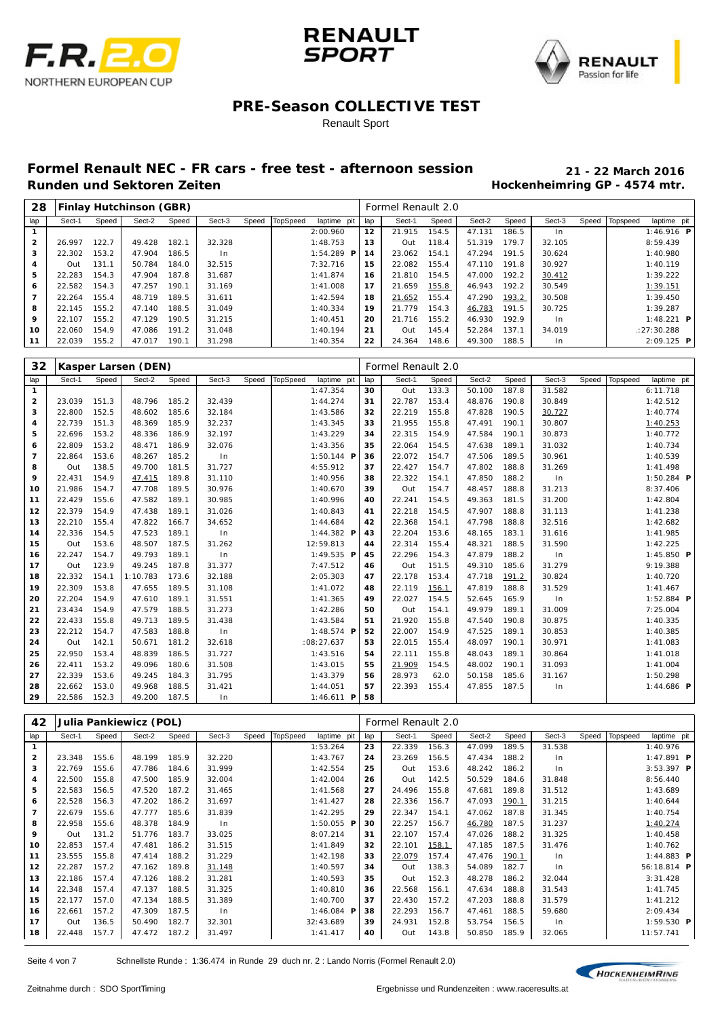





#### Renault Sport

| 28             |        |       | Finlay Hutchinson (GBR) |       |        |       |          |               |     | Formel Renault 2.0 |       |        |       |                |                  |                   |
|----------------|--------|-------|-------------------------|-------|--------|-------|----------|---------------|-----|--------------------|-------|--------|-------|----------------|------------------|-------------------|
| lap            | Sect-1 | Speed | Sect-2                  | Speed | Sect-3 | Speed | TopSpeed | laptime pit   | lap | Sect-1             | Speed | Sect-2 | Speed | Sect-3         | Speed   Topspeed | laptime pit       |
|                |        |       |                         |       |        |       |          | 2:00.960      | 12  | 21.915             | 154.5 | 47.131 | 186.5 | 1 <sub>n</sub> |                  | 1:46.916 P        |
| $\overline{2}$ | 26.997 | 122.7 | 49.428                  | 182.1 | 32.328 |       |          | 1:48.753      | 13  | Out                | 118.4 | 51.319 | 179.7 | 32.105         |                  | 8:59.439          |
| з              | 22.302 | 153.2 | 47.904                  | 186.5 | In.    |       |          | 1:54.289<br>P | 14  | 23.062             | 154.1 | 47.294 | 191.5 | 30.624         |                  | 1:40.980          |
| 4              | Out.   | 131.1 | 50.784                  | 184.0 | 32.515 |       |          | 7:32.716      | 15  | 22.082             | 155.4 | 47.110 | 191.8 | 30.927         |                  | 1:40.119          |
| 5              | 22.283 | 154.3 | 47.904                  | 187.8 | 31.687 |       |          | 1:41.874      | 16  | 21.810             | 154.5 | 47.000 | 192.2 | 30.412         |                  | 1:39.222          |
| 6              | 22.582 | 154.3 | 47.257                  | 190.1 | 31.169 |       |          | 1:41.008      | 17  | 21.659             | 155.8 | 46.943 | 192.2 | 30.549         |                  | 1:39.151          |
| 7              | 22.264 | 155.4 | 48.719                  | 189.5 | 31.611 |       |          | 1:42.594      | 18  | 21.652             | 155.4 | 47.290 | 193.2 | 30.508         |                  | 1:39.450          |
| 8              | 22.145 | 155.2 | 47.140                  | 188.5 | 31.049 |       |          | 1:40.334      | 19  | 21.779             | 154.3 | 46.783 | 191.5 | 30.725         |                  | 1:39.287          |
| 9              | 22.107 | 155.2 | 47.129                  | 190.5 | 31.215 |       |          | 1:40.451      | 20  | 21.716             | 155.2 | 46.930 | 192.9 | $\ln$          |                  | 1:48.221 <b>P</b> |
| 10             | 22.060 | 154.9 | 47.086                  | 191.2 | 31.048 |       |          | 1:40.194      | 21  | Out                | 145.4 | 52.284 | 137.1 | 34.019         |                  | : 27:30.288       |
| 11             | 22.039 | 155.2 | 47.017                  | 190.1 | 31.298 |       |          | 1:40.354      | 22  | 24.364             | 148.6 | 49.300 | 188.5 | $\ln$          |                  | $2:09.125$ P      |

| 32             |        |       | Kasper Larsen (DEN) |       |        |       |                 |                       |     | Formel Renault 2.0 |       |        |       |        |       |          |                     |
|----------------|--------|-------|---------------------|-------|--------|-------|-----------------|-----------------------|-----|--------------------|-------|--------|-------|--------|-------|----------|---------------------|
| lap            | Sect-1 | Speed | Sect-2              | Speed | Sect-3 | Speed | <b>TopSpeed</b> | laptime pit           | lap | Sect-1             | Speed | Sect-2 | Speed | Sect-3 | Speed | Topspeed | laptime pit         |
| $\mathbf{1}$   |        |       |                     |       |        |       |                 | 1:47.354              | 30  | Out                | 133.3 | 50.100 | 187.8 | 31.582 |       |          | 6:11.718            |
| $\overline{2}$ | 23.039 | 151.3 | 48.796              | 185.2 | 32.439 |       |                 | 1:44.274              | 31  | 22.787             | 153.4 | 48.876 | 190.8 | 30.849 |       |          | 1:42.512            |
| 3              | 22.800 | 152.5 | 48.602              | 185.6 | 32.184 |       |                 | 1:43.586              | 32  | 22.219             | 155.8 | 47.828 | 190.5 | 30.727 |       |          | 1:40.774            |
| 4              | 22.739 | 151.3 | 48.369              | 185.9 | 32.237 |       |                 | 1:43.345              | 33  | 21.955             | 155.8 | 47.491 | 190.1 | 30.807 |       |          | 1:40.253            |
| 5              | 22.696 | 153.2 | 48.336              | 186.9 | 32.197 |       |                 | 1:43.229              | 34  | 22.315             | 154.9 | 47.584 | 190.1 | 30.873 |       |          | 1:40.772            |
| 6              | 22.809 | 153.2 | 48.471              | 186.9 | 32.076 |       |                 | 1:43.356              | 35  | 22.064             | 154.5 | 47.638 | 189.1 | 31.032 |       |          | 1:40.734            |
| $\overline{7}$ | 22.864 | 153.6 | 48.267              | 185.2 | $\ln$  |       |                 | $1:50.144$ <b>P</b>   | 36  | 22.072             | 154.7 | 47.506 | 189.5 | 30.961 |       |          | 1:40.539            |
| 8              | Out    | 138.5 | 49.700              | 181.5 | 31.727 |       |                 | 4:55.912              | 37  | 22.427             | 154.7 | 47.802 | 188.8 | 31.269 |       |          | 1:41.498            |
| 9              | 22.431 | 154.9 | 47.415              | 189.8 | 31.110 |       |                 | 1:40.956              | 38  | 22.322             | 154.1 | 47.850 | 188.2 | ln     |       |          | $1:50.284$ <b>P</b> |
| 10             | 21.986 | 154.7 | 47.708              | 189.5 | 30.976 |       |                 | 1:40.670              | 39  | Out                | 154.7 | 48.457 | 188.8 | 31.213 |       |          | 8:37.406            |
| 11             | 22.429 | 155.6 | 47.582              | 189.1 | 30.985 |       |                 | 1:40.996              | 40  | 22.241             | 154.5 | 49.363 | 181.5 | 31.200 |       |          | 1:42.804            |
| 12             | 22.379 | 154.9 | 47.438              | 189.1 | 31.026 |       |                 | 1:40.843              | 41  | 22.218             | 154.5 | 47.907 | 188.8 | 31.113 |       |          | 1:41.238            |
| 13             | 22.210 | 155.4 | 47.822              | 166.7 | 34.652 |       |                 | 1:44.684              | 42  | 22.368             | 154.1 | 47.798 | 188.8 | 32.516 |       |          | 1:42.682            |
| 14             | 22.336 | 154.5 | 47.523              | 189.1 | ln     |       |                 | 1:44.382 $P$          | 43  | 22.204             | 153.6 | 48.165 | 183.1 | 31.616 |       |          | 1:41.985            |
| 15             | Out    | 153.6 | 48.507              | 187.5 | 31.262 |       |                 | 12:59.813             | 44  | 22.314             | 155.4 | 48.321 | 188.5 | 31.590 |       |          | 1:42.225            |
| 16             | 22.247 | 154.7 | 49.793              | 189.1 | ln     |       |                 | 1:49.535 $P$          | 45  | 22.296             | 154.3 | 47.879 | 188.2 | ln     |       |          | 1:45.850 $P$        |
| 17             | Out    | 123.9 | 49.245              | 187.8 | 31.377 |       |                 | 7:47.512              | 46  | Out                | 151.5 | 49.310 | 185.6 | 31.279 |       |          | 9:19.388            |
| 18             | 22.332 | 154.1 | 1:10.783            | 173.6 | 32.188 |       |                 | 2:05.303              | 47  | 22.178             | 153.4 | 47.718 | 191.2 | 30.824 |       |          | 1:40.720            |
| 19             | 22.309 | 153.8 | 47.655              | 189.5 | 31.108 |       |                 | 1:41.072              | 48  | 22.119             | 156.1 | 47.819 | 188.8 | 31.529 |       |          | 1:41.467            |
| 20             | 22.204 | 154.9 | 47.610              | 189.1 | 31.551 |       |                 | 1: 41.365             | 49  | 22.027             | 154.5 | 52.645 | 165.9 | ln     |       |          | $1:52.884$ <b>P</b> |
| 21             | 23.434 | 154.9 | 47.579              | 188.5 | 31.273 |       |                 | 1:42.286              | 50  | Out                | 154.1 | 49.979 | 189.1 | 31.009 |       |          | 7:25.004            |
| 22             | 22.433 | 155.8 | 49.713              | 189.5 | 31.438 |       |                 | 1:43.584              | 51  | 21.920             | 155.8 | 47.540 | 190.8 | 30.875 |       |          | 1:40.335            |
| 23             | 22.212 | 154.7 | 47.583              | 188.8 | ln     |       |                 | 1:48.574 $\textbf{P}$ | 52  | 22.007             | 154.9 | 47.525 | 189.1 | 30.853 |       |          | 1:40.385            |
| 24             | Out    | 142.1 | 50.671              | 181.2 | 32.618 |       |                 | :08:27.637            | 53  | 22.015             | 155.4 | 48.097 | 190.1 | 30.971 |       |          | 1:41.083            |
| 25             | 22.950 | 153.4 | 48.839              | 186.5 | 31.727 |       |                 | 1:43.516              | 54  | 22.111             | 155.8 | 48.043 | 189.1 | 30.864 |       |          | 1:41.018            |
| 26             | 22.411 | 153.2 | 49.096              | 180.6 | 31.508 |       |                 | 1:43.015              | 55  | 21.909             | 154.5 | 48.002 | 190.1 | 31.093 |       |          | 1:41.004            |
| 27             | 22.339 | 153.6 | 49.245              | 184.3 | 31.795 |       |                 | 1:43.379              | 56  | 28.973             | 62.0  | 50.158 | 185.6 | 31.167 |       |          | 1:50.298            |
| 28             | 22.662 | 153.0 | 49.968              | 188.5 | 31.421 |       |                 | 1:44.051              | 57  | 22.393             | 155.4 | 47.855 | 187.5 | ln     |       |          | 1:44.686 $P$        |
| 29             | 22.586 | 152.3 | 49.200              | 187.5 | ln     |       |                 | $1:46.611$ <b>P</b>   | 58  |                    |       |        |       |        |       |          |                     |

| 42             |        |       | Julia Pankiewicz (POL) |       |        |       |                 |                     |     | Formel Renault 2.0 |       |        |       |        |       |          |                     |
|----------------|--------|-------|------------------------|-------|--------|-------|-----------------|---------------------|-----|--------------------|-------|--------|-------|--------|-------|----------|---------------------|
| lap            | Sect-1 | Speed | Sect-2                 | Speed | Sect-3 | Speed | <b>TopSpeed</b> | laptime pit         | lap | Sect-1             | Speed | Sect-2 | Speed | Sect-3 | Speed | Topspeed | laptime pit         |
| $\mathbf{1}$   |        |       |                        |       |        |       |                 | 1:53.264            | 23  | 22.339             | 156.3 | 47.099 | 189.5 | 31.538 |       |          | 1:40.976            |
| $\mathbf{2}$   | 23.348 | 155.6 | 48.199                 | 185.9 | 32.220 |       |                 | 1:43.767            | 24  | 23.269             | 156.5 | 47.434 | 188.2 | $\ln$  |       |          | $1:47.891$ <b>P</b> |
| 3              | 22.769 | 155.6 | 47.786                 | 184.6 | 31.999 |       |                 | 1:42.554            | 25  | Out                | 153.6 | 48.242 | 186.2 | $\ln$  |       |          | $3:53.397$ <b>P</b> |
| 4              | 22.500 | 155.8 | 47.500                 | 185.9 | 32.004 |       |                 | 1:42.004            | 26  | Out                | 142.5 | 50.529 | 184.6 | 31.848 |       |          | 8:56.440            |
| 5              | 22.583 | 156.5 | 47.520                 | 187.2 | 31.465 |       |                 | 1:41.568            | 27  | 24.496             | 155.8 | 47.681 | 189.8 | 31.512 |       |          | 1:43.689            |
| 6              | 22.528 | 156.3 | 47.202                 | 186.2 | 31.697 |       |                 | 1: 41.427           | 28  | 22.336             | 156.7 | 47.093 | 190.1 | 31.215 |       |          | 1:40.644            |
| $\overline{7}$ | 22.679 | 155.6 | 47.777                 | 185.6 | 31.839 |       |                 | 1:42.295            | 29  | 22.347             | 154.1 | 47.062 | 187.8 | 31.345 |       |          | 1:40.754            |
| 8              | 22.958 | 155.6 | 48.378                 | 184.9 | ln     |       |                 | $1:50.055$ <b>P</b> | 30  | 22.257             | 156.7 | 46.780 | 187.5 | 31.237 |       |          | 1:40.274            |
| 9              | Out    | 131.2 | 51.776                 | 183.7 | 33.025 |       |                 | 8:07.214            | 31  | 22.107             | 157.4 | 47.026 | 188.2 | 31.325 |       |          | 1:40.458            |
| 10             | 22.853 | 157.4 | 47.481                 | 186.2 | 31.515 |       |                 | 1:41.849            | 32  | 22.101             | 158.1 | 47.185 | 187.5 | 31.476 |       |          | 1:40.762            |
| 11             | 23.555 | 155.8 | 47.414                 | 188.2 | 31.229 |       |                 | 1:42.198            | 33  | 22.079             | 157.4 | 47.476 | 190.1 | $\ln$  |       |          | 1:44.883 $P$        |
| 12             | 22.287 | 157.2 | 47.162                 | 189.8 | 31.148 |       |                 | 1:40.597            | 34  | Out                | 138.3 | 54.089 | 182.7 | $\ln$  |       |          | 56:18.814 P         |
| 13             | 22.186 | 157.4 | 47.126                 | 188.2 | 31.281 |       |                 | 1:40.593            | 35  | Out                | 152.3 | 48.278 | 186.2 | 32.044 |       |          | 3:31.428            |
| 14             | 22.348 | 157.4 | 47.137                 | 188.5 | 31.325 |       |                 | 1:40.810            | 36  | 22.568             | 156.1 | 47.634 | 188.8 | 31.543 |       |          | 1:41.745            |
| 15             | 22.177 | 157.0 | 47.134                 | 188.5 | 31.389 |       |                 | 1:40.700            | 37  | 22.430             | 157.2 | 47.203 | 188.8 | 31.579 |       |          | 1:41.212            |
| 16             | 22.661 | 157.2 | 47.309                 | 187.5 | ln     |       |                 | 1:46.084 $P$        | 38  | 22.293             | 156.7 | 47.461 | 188.5 | 59.680 |       |          | 2:09.434            |
| 17             | Out    | 136.5 | 50.490                 | 182.7 | 32.301 |       |                 | 32:43.689           | 39  | 24.931             | 152.8 | 53.754 | 156.5 | $\ln$  |       |          | $1:59.530$ <b>P</b> |
| 18             | 22.448 | 157.7 | 47.472                 | 187.2 | 31.497 |       |                 | 1: 41.417           | 40  | Out                | 143.8 | 50.850 | 185.9 | 32.065 |       |          | 11:57.741           |

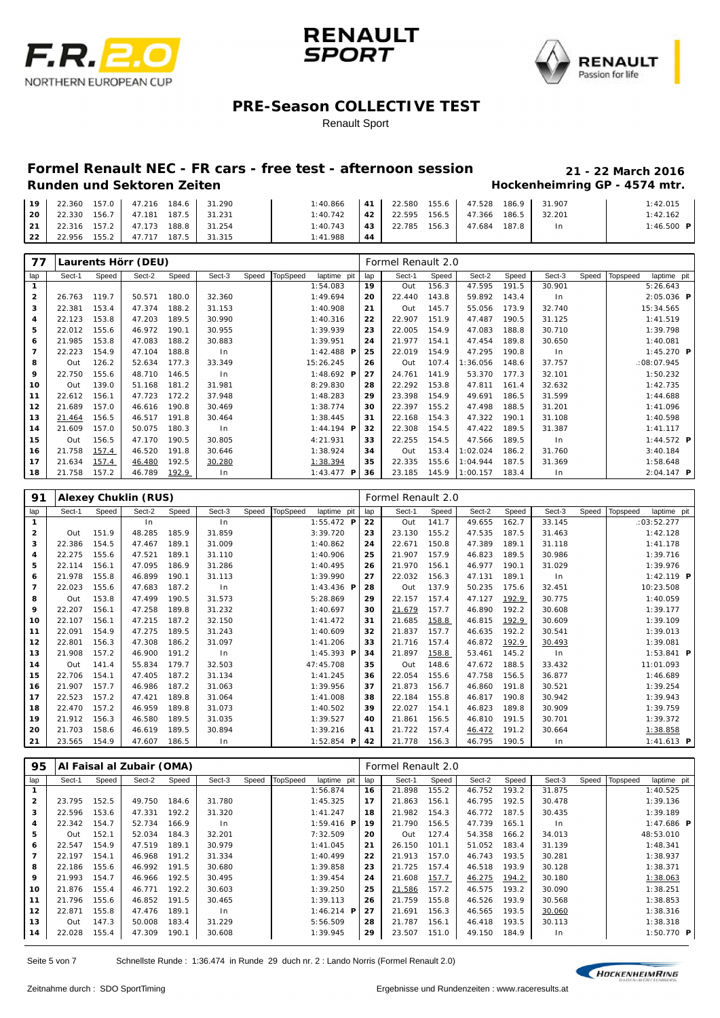





Renault Sport

|        |        | 19   22.360 157.0   47.216 184.6   31.290 | 1: 40.866 |     | $\vert$ 41 $\vert$ 22.580 155.6 47.528 186.9 31.907 |  |                | 1:42.015          |
|--------|--------|-------------------------------------------|-----------|-----|-----------------------------------------------------|--|----------------|-------------------|
| l 20 l |        | 22.330 156.7 47.181 187.5 31.231          | 1:40.742  |     | 42   22.595 156.5   47.366 186.5   32.201           |  |                | 1:42.162          |
|        |        | 21   22.316 157.2   47.173 188.8   31.254 | 1:40.743  |     | 43   22.785 156.3   47.684 187.8                    |  | 1 <sub>n</sub> | 1:46.500 <b>P</b> |
| l 22 l | 22.956 | 155.2 47.717 187.5 31.315                 | 1:41.988  | -44 |                                                     |  |                |                   |

| 77             |        |       | Laurents Hörr (DEU) |       |        |       |                 |                         |     | Formel Renault 2.0 |       |          |       |        |       |          |                     |  |
|----------------|--------|-------|---------------------|-------|--------|-------|-----------------|-------------------------|-----|--------------------|-------|----------|-------|--------|-------|----------|---------------------|--|
| lap            | Sect-1 | Speed | Sect-2              | Speed | Sect-3 | Speed | <b>TopSpeed</b> | laptime pit             | lap | Sect-1             | Speed | Sect-2   | Speed | Sect-3 | Speed | Topspeed | laptime pit         |  |
| 1              |        |       |                     |       |        |       |                 | 1:54.083                | 19  | Out                | 156.3 | 47.595   | 191.5 | 30.901 |       |          | 5:26.643            |  |
| $\overline{2}$ | 26.763 | 119.7 | 50.571              | 180.0 | 32.360 |       |                 | 1:49.694                | 20  | 22.440             | 143.8 | 59.892   | 143.4 | ln     |       |          | $2:05.036$ <b>P</b> |  |
| 3              | 22.381 | 153.4 | 47.374              | 188.2 | 31.153 |       |                 | 1:40.908                | 21  | Out                | 145.7 | 55.056   | 173.9 | 32.740 |       |          | 15:34.565           |  |
| 4              | 22.123 | 153.8 | 47.203              | 189.5 | 30.990 |       |                 | 1:40.316                | 22  | 22.907             | 151.9 | 47.487   | 190.5 | 31.125 |       |          | 1:41.519            |  |
| 5              | 22.012 | 155.6 | 46.972              | 190.1 | 30.955 |       |                 | 1:39.939                | 23  | 22.005             | 154.9 | 47.083   | 188.8 | 30.710 |       |          | 1:39.798            |  |
| 6              | 21.985 | 153.8 | 47.083              | 188.2 | 30.883 |       |                 | 1:39.951                | 24  | 21.977             | 154.1 | 47.454   | 189.8 | 30.650 |       |          | 1:40.081            |  |
| $\overline{7}$ | 22.223 | 154.9 | 47.104              | 188.8 | ln     |       |                 | 1:42.488 $\overline{P}$ | 25  | 22.019             | 154.9 | 47.295   | 190.8 | ln     |       |          | 1:45.270 $P$        |  |
| 8              | Out    | 126.2 | 52.634              | 177.3 | 33.349 |       |                 | 15:26.245               | 26  | Out                | 107.4 | : 36.056 | 148.6 | 37.757 |       |          | :08:07.945          |  |
| 9              | 22.750 | 155.6 | 48.710              | 146.5 | ln     |       |                 | 1:48.692 $P$            | 27  | 24.761             | 141.9 | 53.370   | 177.3 | 32.101 |       |          | 1:50.232            |  |
| 10             | Out    | 139.0 | 51.168              | 181.2 | 31.981 |       |                 | 8:29.830                | 28  | 22.292             | 153.8 | 47.811   | 161.4 | 32.632 |       |          | 1:42.735            |  |
| 11             | 22.612 | 156.1 | 47.723              | 172.2 | 37.948 |       |                 | 1:48.283                | 29  | 23.398             | 154.9 | 49.691   | 186.5 | 31.599 |       |          | 1:44.688            |  |
| 12             | 21.689 | 157.0 | 46.616              | 190.8 | 30.469 |       |                 | 1:38.774                | 30  | 22.397             | 155.2 | 47.498   | 188.5 | 31.201 |       |          | 1:41.096            |  |
| 13             | 21.464 | 156.5 | 46.517              | 191.8 | 30.464 |       |                 | 1:38.445                | 31  | 22.168             | 154.3 | 47.322   | 190.1 | 31.108 |       |          | 1:40.598            |  |
| 14             | 21.609 | 157.0 | 50.075              | 180.3 | $\ln$  |       |                 | $1:44.194$ <b>P</b>     | 32  | 22.308             | 154.5 | 47.422   | 189.5 | 31.387 |       |          | 1:41.117            |  |
| 15             | Out    | 156.5 | 47.170              | 190.5 | 30.805 |       |                 | 4:21.931                | 33  | 22.255             | 154.5 | 47.566   | 189.5 | ln     |       |          | 1:44.572 $P$        |  |
| 16             | 21.758 | 157.4 | 46.520              | 191.8 | 30.646 |       |                 | 1:38.924                | 34  | Out                | 153.4 | 1:02.024 | 186.2 | 31.760 |       |          | 3:40.184            |  |
| 17             | 21.634 | 157.4 | 46.480              | 192.5 | 30.280 |       |                 | 1:38.394                | 35  | 22.335             | 155.6 | 1:04.944 | 187.5 | 31.369 |       |          | 1:58.648            |  |
| 18             | 21.758 | 157.2 | 46.789              | 192.9 | ln     |       |                 | 1:43.477<br>P           | 36  | 23.185             | 145.9 | 1:00.157 | 183.4 | $\ln$  |       |          | $2:04.147$ <b>P</b> |  |

| 91                      |        |       | <b>Alexey Chuklin (RUS)</b> |       |        |       |                 |              |     | Formel Renault 2.0 |       |        |       |        |       |          |                     |  |
|-------------------------|--------|-------|-----------------------------|-------|--------|-------|-----------------|--------------|-----|--------------------|-------|--------|-------|--------|-------|----------|---------------------|--|
| lap                     | Sect-1 | Speed | Sect-2                      | Speed | Sect-3 | Speed | <b>TopSpeed</b> | laptime pit  | lap | Sect-1             | Speed | Sect-2 | Speed | Sect-3 | Speed | Topspeed | laptime pit         |  |
| 1                       |        |       | In                          |       | ln     |       |                 | $1:55.472$ P | 22  | Out                | 141.7 | 49.655 | 162.7 | 33.145 |       |          | :03:52.277          |  |
| $\overline{\mathbf{2}}$ | Out    | 151.9 | 48.285                      | 185.9 | 31.859 |       |                 | 3:39.720     | 23  | 23.130             | 155.2 | 47.535 | 187.5 | 31.463 |       |          | 1:42.128            |  |
| 3                       | 22.386 | 154.5 | 47.467                      | 189.1 | 31.009 |       |                 | 1:40.862     | 24  | 22.671             | 150.8 | 47.389 | 189.1 | 31.118 |       |          | 1:41.178            |  |
| 4                       | 22.275 | 155.6 | 47.521                      | 189.1 | 31.110 |       |                 | 1:40.906     | 25  | 21.907             | 157.9 | 46.823 | 189.5 | 30.986 |       |          | 1:39.716            |  |
| 5                       | 22.114 | 156.1 | 47.095                      | 186.9 | 31.286 |       |                 | 1:40.495     | 26  | 21.970             | 156.1 | 46.977 | 190.1 | 31.029 |       |          | 1:39.976            |  |
| 6                       | 21.978 | 155.8 | 46.899                      | 190.1 | 31.113 |       |                 | 1:39.990     | 27  | 22.032             | 156.3 | 47.131 | 189.1 | ln     |       |          | $1:42.119$ <b>P</b> |  |
| $\overline{7}$          | 22.023 | 155.6 | 47.683                      | 187.2 | $\ln$  |       |                 | 1:43.436 $P$ | 28  | Out                | 137.9 | 50.235 | 175.6 | 32.451 |       |          | 10:23.508           |  |
| 8                       | Out    | 153.8 | 47.499                      | 190.5 | 31.573 |       |                 | 5:28.869     | 29  | 22.157             | 157.4 | 47.127 | 192.9 | 30.775 |       |          | 1:40.059            |  |
| 9                       | 22.207 | 156.1 | 47.258                      | 189.8 | 31.232 |       |                 | 1:40.697     | 30  | 21.679             | 157.7 | 46.890 | 192.2 | 30.608 |       |          | 1:39.177            |  |
| 10                      | 22.107 | 156.1 | 47.215                      | 187.2 | 32.150 |       |                 | 1: 41.472    | 31  | 21.685             | 158.8 | 46.815 | 192.9 | 30.609 |       |          | 1:39.109            |  |
| 11                      | 22.091 | 154.9 | 47.275                      | 189.5 | 31.243 |       |                 | 1:40.609     | 32  | 21.837             | 157.7 | 46.635 | 192.2 | 30.541 |       |          | 1:39.013            |  |
| 12                      | 22.801 | 156.3 | 47.308                      | 186.2 | 31.097 |       |                 | 1:41.206     | 33  | 21.716             | 157.4 | 46.872 | 192.9 | 30.493 |       |          | 1:39.081            |  |
| 13                      | 21.908 | 157.2 | 46.900                      | 191.2 | $\ln$  |       |                 | 1:45.393 $P$ | 34  | 21.897             | 158.8 | 53.461 | 145.2 | ln     |       |          | $1:53.841$ <b>P</b> |  |
| 14                      | Out    | 141.4 | 55.834                      | 179.7 | 32.503 |       |                 | 47:45.708    | 35  | Out                | 148.6 | 47.672 | 188.5 | 33.432 |       |          | 11:01.093           |  |
| 15                      | 22.706 | 154.1 | 47.405                      | 187.2 | 31.134 |       |                 | 1:41.245     | 36  | 22.054             | 155.6 | 47.758 | 156.5 | 36.877 |       |          | 1:46.689            |  |
| 16                      | 21.907 | 157.7 | 46.986                      | 187.2 | 31.063 |       |                 | 1:39.956     | 37  | 21.873             | 156.7 | 46.860 | 191.8 | 30.521 |       |          | 1:39.254            |  |
| 17                      | 22.523 | 157.2 | 47.421                      | 189.8 | 31.064 |       |                 | 1:41.008     | 38  | 22.184             | 155.8 | 46.817 | 190.8 | 30.942 |       |          | 1:39.943            |  |
| 18                      | 22.470 | 157.2 | 46.959                      | 189.8 | 31.073 |       |                 | 1:40.502     | 39  | 22.027             | 154.1 | 46.823 | 189.8 | 30.909 |       |          | 1:39.759            |  |
| 19                      | 21.912 | 156.3 | 46.580                      | 189.5 | 31.035 |       |                 | 1:39.527     | 40  | 21.861             | 156.5 | 46.810 | 191.5 | 30.701 |       |          | 1:39.372            |  |
| 20                      | 21.703 | 158.6 | 46.619                      | 189.5 | 30.894 |       |                 | 1:39.216     | 41  | 21.722             | 157.4 | 46.472 | 191.2 | 30.664 |       |          | 1:38.858            |  |
| 21                      | 23.565 | 154.9 | 47.607                      | 186.5 | ln     |       |                 | $1:52.854$ P | 42  | 21.778             | 156.3 | 46.795 | 190.5 | ln     |       |          | $1:41.613$ <b>P</b> |  |

| 95             |        |       | Al Faisal al Zubair (OMA) |       |        |       |          |                         |     | Formel Renault 2.0 |       |        |       |        |       |          |                   |  |
|----------------|--------|-------|---------------------------|-------|--------|-------|----------|-------------------------|-----|--------------------|-------|--------|-------|--------|-------|----------|-------------------|--|
| lap            | Sect-1 | Speed | Sect-2                    | Speed | Sect-3 | Speed | TopSpeed | laptime pit             | lap | Sect-1             | Speed | Sect-2 | Speed | Sect-3 | Speed | Topspeed | laptime pit       |  |
|                |        |       |                           |       |        |       |          | 1:56.874                | 16  | 21.898             | 155.2 | 46.752 | 193.2 | 31.875 |       |          | 1:40.525          |  |
| $\overline{2}$ | 23.795 | 152.5 | 49.750                    | 184.6 | 31.780 |       |          | 1:45.325                | 17  | 21.863             | 156.1 | 46.795 | 192.5 | 30.478 |       |          | 1:39.136          |  |
| 3              | 22.596 | 153.6 | 47.331                    | 192.2 | 31.320 |       |          | 1: 41.247               | 18  | 21.982             | 154.3 | 46.772 | 187.5 | 30.435 |       |          | 1:39.189          |  |
| 4              | 22.342 | 154.7 | 52.734                    | 166.9 | ln     |       |          | 1:59.416 <b>P</b>       | 19  | 21.790             | 156.5 | 47.739 | 165.1 | $\ln$  |       |          | 1:47.686 <b>P</b> |  |
| 5              | Out    | 152.1 | 52.034                    | 184.3 | 32.201 |       |          | 7:32.509                | 20  | Out                | 127.4 | 54.358 | 166.2 | 34.013 |       |          | 48:53.010         |  |
| 6              | 22.547 | 154.9 | 47.519                    | 189.1 | 30.979 |       |          | 1:41.045                | 21  | 26.150             | 101.1 | 51.052 | 183.4 | 31.139 |       |          | 1:48.341          |  |
|                | 22.197 | 154.1 | 46.968                    | 191.2 | 31.334 |       |          | 1:40.499                | 22  | 21.913             | 157.0 | 46.743 | 193.5 | 30.281 |       |          | 1:38.937          |  |
| 8              | 22.186 | 155.6 | 46.992                    | 191.5 | 30.680 |       |          | 1:39.858                | 23  | 21.725             | 157.4 | 46.518 | 193.9 | 30.128 |       |          | 1:38.371          |  |
| 9              | 21.993 | 154.7 | 46.966                    | 192.5 | 30.495 |       |          | 1:39.454                | 24  | 21.608             | 157.7 | 46.275 | 194.2 | 30.180 |       |          | 1:38.063          |  |
| 10             | 21.876 | 155.4 | 46.771                    | 192.2 | 30.603 |       |          | 1:39.250                | 25  | 21.586             | 157.2 | 46.575 | 193.2 | 30.090 |       |          | 1:38.251          |  |
| 11             | 21.796 | 155.6 | 46.852                    | 191.5 | 30.465 |       |          | 1:39.113                | 26  | 21.759             | 155.8 | 46.526 | 193.9 | 30.568 |       |          | 1:38.853          |  |
| 12             | 22.871 | 155.8 | 47.476                    | 189.1 | ln     |       |          | 1:46.214 $\blacksquare$ | 27  | 21.691             | 156.3 | 46.565 | 193.5 | 30.060 |       |          | 1:38.316          |  |
| 13             | Out    | 147.3 | 50.008                    | 183.4 | 31.229 |       |          | 5:56.509                | 28  | 21.787             | 156.1 | 46.418 | 193.5 | 30.113 |       |          | 1:38.318          |  |
| 14             | 22.028 | 155.4 | 47.309                    | 190.1 | 30.608 |       |          | 1:39.945                | 29  | 23.507             | 151.0 | 49.150 | 184.9 | $\ln$  |       |          | 1:50.770 $P$      |  |

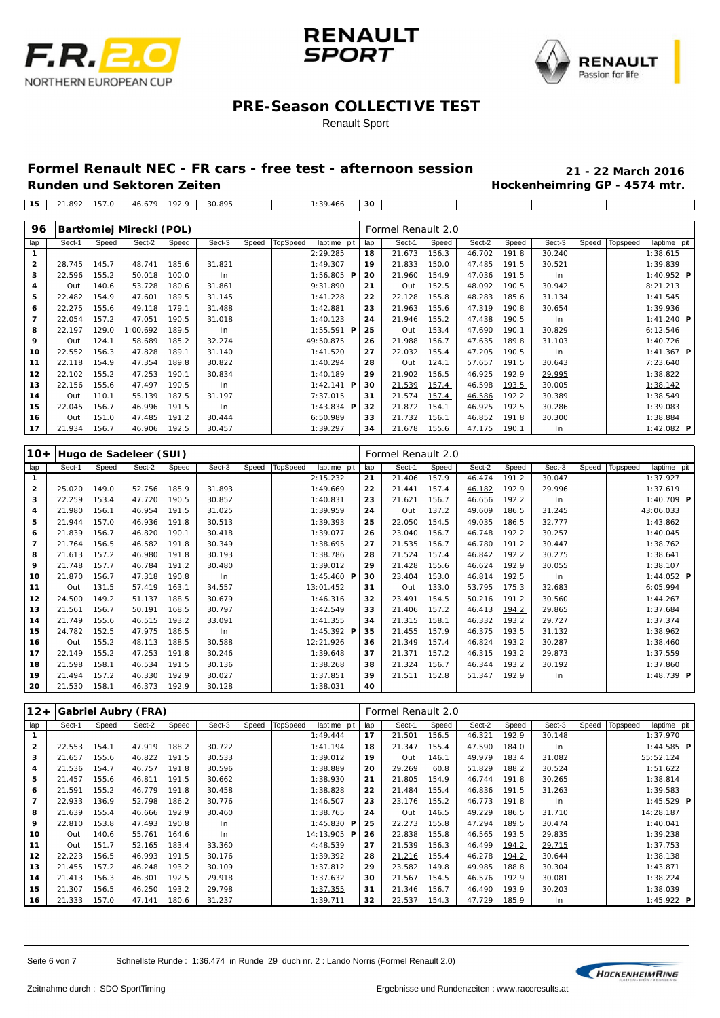





#### Renault Sport

# **Formel Renault NEC - FR cars - free test - afternoon session 21 - 22 March 2016**

**Hockenheimring GP - 4574 mtr.** 

 $\overline{1}$ 

21.892 157.0 46.679 192.9 30.895 1:39.466 **30**

| 96             |        |       | Bartłomiej Mirecki (POL) |       |        |       |          |                     |     | Formel Renault 2.0 |       |        |       |        |       |          |              |  |
|----------------|--------|-------|--------------------------|-------|--------|-------|----------|---------------------|-----|--------------------|-------|--------|-------|--------|-------|----------|--------------|--|
| lap            | Sect-1 | Speed | Sect-2                   | Speed | Sect-3 | Speed | TopSpeed | laptime pit         | lap | Sect-1             | Speed | Sect-2 | Speed | Sect-3 | Speed | Topspeed | laptime pit  |  |
| 1              |        |       |                          |       |        |       |          | 2:29.285            | 18  | 21.673             | 156.3 | 46.702 | 191.8 | 30.240 |       |          | 1:38.615     |  |
| $\overline{2}$ | 28.745 | 145.7 | 48.741                   | 185.6 | 31.821 |       |          | 1:49.307            | 19  | 21.833             | 150.0 | 47.485 | 191.5 | 30.521 |       |          | 1:39.839     |  |
| 3              | 22.596 | 155.2 | 50.018                   | 100.0 | In     |       |          | $1:56.805$ <b>P</b> | 20  | 21.960             | 154.9 | 47.036 | 191.5 | $\ln$  |       |          | 1:40.952 $P$ |  |
| 4              | Out    | 140.6 | 53.728                   | 180.6 | 31.861 |       |          | 9:31.890            | 21  | Out                | 152.5 | 48.092 | 190.5 | 30.942 |       |          | 8:21.213     |  |
| 5              | 22.482 | 154.9 | 47.601                   | 189.5 | 31.145 |       |          | 1:41.228            | 22  | 22.128             | 155.8 | 48.283 | 185.6 | 31.134 |       |          | 1:41.545     |  |
| 6              | 22.275 | 155.6 | 49.118                   | 179.1 | 31.488 |       |          | 1:42.881            | 23  | 21.963             | 155.6 | 47.319 | 190.8 | 30.654 |       |          | 1:39.936     |  |
| $\overline{7}$ | 22.054 | 157.2 | 47.051                   | 190.5 | 31.018 |       |          | 1:40.123            | 24  | 21.946             | 155.2 | 47.438 | 190.5 | $\ln$  |       |          | 1:41.240 $P$ |  |
| 8              | 22.197 | 129.0 | 1:00.692                 | 189.5 | $\ln$  |       |          | $1:55.591$ <b>P</b> | 25  | Out                | 153.4 | 47.690 | 190.1 | 30.829 |       |          | 6:12.546     |  |
| 9              | Out    | 124.1 | 58.689                   | 185.2 | 32.274 |       |          | 49:50.875           | 26  | 21.988             | 156.7 | 47.635 | 189.8 | 31.103 |       |          | 1:40.726     |  |
| 10             | 22.552 | 156.3 | 47.828                   | 189.1 | 31.140 |       |          | 1:41.520            | 27  | 22.032             | 155.4 | 47.205 | 190.5 | $\ln$  |       |          | 1:41.367 $P$ |  |
| 11             | 22.118 | 154.9 | 47.354                   | 189.8 | 30.822 |       |          | 1:40.294            | 28  | Out                | 124.1 | 57.657 | 191.5 | 30.643 |       |          | 7:23.640     |  |
| 12             | 22.102 | 155.2 | 47.253                   | 190.1 | 30.834 |       |          | 1:40.189            | 29  | 21.902             | 156.5 | 46.925 | 192.9 | 29.995 |       |          | 1:38.822     |  |
| 13             | 22.156 | 155.6 | 47.497                   | 190.5 | ln     |       |          | 1:42.141 <b>P</b>   | 30  | 21.539             | 157.4 | 46.598 | 193.5 | 30.005 |       |          | 1:38.142     |  |
| 14             | Out    | 110.1 | 55.139                   | 187.5 | 31.197 |       |          | 7:37.015            | 31  | 21.574             | 157.4 | 46.586 | 192.2 | 30.389 |       |          | 1:38.549     |  |
| 15             | 22.045 | 156.7 | 46.996                   | 191.5 | In     |       |          | 1:43.834 $P$        | 32  | 21.872             | 154.1 | 46.925 | 192.5 | 30.286 |       |          | 1:39.083     |  |
| 16             | Out    | 151.0 | 47.485                   | 191.2 | 30.444 |       |          | 6:50.989            | 33  | 21.732             | 156.1 | 46.852 | 191.8 | 30.300 |       |          | 1:38.884     |  |
| 17             | 21.934 | 156.7 | 46.906                   | 192.5 | 30.457 |       |          | 1:39.297            | 34  | 21.678             | 155.6 | 47.175 | 190.1 | $\ln$  |       |          | 1:42.082 $P$ |  |

| 10+            |        |       | Hugo de Sadeleer (SUI) |       |        |       |                 |              |     | Formel Renault 2.0 |       |        |       |        |       |          |              |  |
|----------------|--------|-------|------------------------|-------|--------|-------|-----------------|--------------|-----|--------------------|-------|--------|-------|--------|-------|----------|--------------|--|
| lap            | Sect-1 | Speed | Sect-2                 | Speed | Sect-3 | Speed | <b>TopSpeed</b> | laptime pit  | lap | Sect-1             | Speed | Sect-2 | Speed | Sect-3 | Speed | Topspeed | laptime pit  |  |
| $\mathbf{1}$   |        |       |                        |       |        |       |                 | 2:15.232     | 21  | 21.406             | 157.9 | 46.474 | 191.2 | 30.047 |       |          | 1:37.927     |  |
| $\overline{2}$ | 25.020 | 149.0 | 52.756                 | 185.9 | 31.893 |       |                 | 1:49.669     | 22  | 21.441             | 157.4 | 46.182 | 192.9 | 29.996 |       |          | 1:37.619     |  |
| 3              | 22.259 | 153.4 | 47.720                 | 190.5 | 30.852 |       |                 | 1:40.831     | 23  | 21.621             | 156.7 | 46.656 | 192.2 | ln     |       |          | 1:40.709 $P$ |  |
| 4              | 21.980 | 156.1 | 46.954                 | 191.5 | 31.025 |       |                 | 1:39.959     | 24  | Out                | 137.2 | 49.609 | 186.5 | 31.245 |       |          | 43:06.033    |  |
| 5              | 21.944 | 157.0 | 46.936                 | 191.8 | 30.513 |       |                 | 1:39.393     | 25  | 22.050             | 154.5 | 49.035 | 186.5 | 32.777 |       |          | 1:43.862     |  |
| 6              | 21.839 | 156.7 | 46.820                 | 190.1 | 30.418 |       |                 | 1:39.077     | 26  | 23.040             | 156.7 | 46.748 | 192.2 | 30.257 |       |          | 1:40.045     |  |
| $\overline{7}$ | 21.764 | 156.5 | 46.582                 | 191.8 | 30.349 |       |                 | 1:38.695     | 27  | 21.535             | 156.7 | 46.780 | 191.2 | 30.447 |       |          | 1:38.762     |  |
| 8              | 21.613 | 157.2 | 46.980                 | 191.8 | 30.193 |       |                 | 1:38.786     | 28  | 21.524             | 157.4 | 46.842 | 192.2 | 30.275 |       |          | 1:38.641     |  |
| 9              | 21.748 | 157.7 | 46.784                 | 191.2 | 30.480 |       |                 | 1:39.012     | 29  | 21.428             | 155.6 | 46.624 | 192.9 | 30.055 |       |          | 1:38.107     |  |
| 10             | 21.870 | 156.7 | 47.318                 | 190.8 | $\ln$  |       |                 | 1:45.460 $P$ | 30  | 23.404             | 153.0 | 46.814 | 192.5 | $\ln$  |       |          | 1:44.052 $P$ |  |
| 11             | Out    | 131.5 | 57.419                 | 163.1 | 34.557 |       |                 | 13:01.452    | 31  | Out                | 133.0 | 53.795 | 175.3 | 32.683 |       |          | 6:05.994     |  |
| 12             | 24.500 | 149.2 | 51.137                 | 188.5 | 30.679 |       |                 | 1:46.316     | 32  | 23.491             | 154.5 | 50.216 | 191.2 | 30.560 |       |          | 1:44.267     |  |
| 13             | 21.561 | 156.7 | 50.191                 | 168.5 | 30.797 |       |                 | 1:42.549     | 33  | 21.406             | 157.2 | 46.413 | 194.2 | 29.865 |       |          | 1:37.684     |  |
| 14             | 21.749 | 155.6 | 46.515                 | 193.2 | 33.091 |       |                 | 1: 41.355    | 34  | 21.315             | 158.1 | 46.332 | 193.2 | 29.727 |       |          | 1:37.374     |  |
| 15             | 24.782 | 152.5 | 47.975                 | 186.5 | $\ln$  |       |                 | 1:45.392 $P$ | 35  | 21.455             | 157.9 | 46.375 | 193.5 | 31.132 |       |          | 1:38.962     |  |
| 16             | Out    | 155.2 | 48.113                 | 188.5 | 30.588 |       |                 | 12:21.926    | 36  | 21.349             | 157.4 | 46.824 | 193.2 | 30.287 |       |          | 1:38.460     |  |
| 17             | 22.149 | 155.2 | 47.253                 | 191.8 | 30.246 |       |                 | 1:39.648     | 37  | 21.371             | 157.2 | 46.315 | 193.2 | 29.873 |       |          | 1:37.559     |  |
| 18             | 21.598 | 158.1 | 46.534                 | 191.5 | 30.136 |       |                 | 1:38.268     | 38  | 21.324             | 156.7 | 46.344 | 193.2 | 30.192 |       |          | 1:37.860     |  |
| 19             | 21.494 | 157.2 | 46.330                 | 192.9 | 30.027 |       |                 | 1:37.851     | 39  | 21.511             | 152.8 | 51.347 | 192.9 | In     |       |          | 1:48.739 $P$ |  |
| 20             | 21.530 | 158.1 | 46.373                 | 192.9 | 30.128 |       |                 | 1:38.031     | 40  |                    |       |        |       |        |       |          |              |  |

| $12+$                   |        |       | <b>Gabriel Aubry (FRA)</b> |       |        |       |          |              |     | Formel Renault 2.0 |       |        |       |                |       |          |                     |
|-------------------------|--------|-------|----------------------------|-------|--------|-------|----------|--------------|-----|--------------------|-------|--------|-------|----------------|-------|----------|---------------------|
| lap                     | Sect-1 | Speed | Sect-2                     | Speed | Sect-3 | Speed | TopSpeed | laptime pit  | lap | Sect-1             | Speed | Sect-2 | Speed | Sect-3         | Speed | Topspeed | laptime pit         |
| $\mathbf{1}$            |        |       |                            |       |        |       |          | 1:49.444     | 17  | 21.501             | 156.5 | 46.321 | 192.9 | 30.148         |       |          | 1:37.970            |
| $\overline{\mathbf{2}}$ | 22.553 | 154.1 | 47.919                     | 188.2 | 30.722 |       |          | 1:41.194     | 18  | 21.347             | 155.4 | 47.590 | 184.0 | In             |       |          | $1:44.585$ <b>P</b> |
| 3                       | 21.657 | 155.6 | 46.822                     | 191.5 | 30.533 |       |          | 1:39.012     | 19  | Out                | 146.1 | 49.979 | 183.4 | 31.082         |       |          | 55:52.124           |
| 4                       | 21.536 | 154.7 | 46.757                     | 191.8 | 30.596 |       |          | 1:38.889     | 20  | 29.269             | 60.8  | 51.829 | 188.2 | 30.524         |       |          | 1:51.622            |
| 5                       | 21.457 | 155.6 | 46.811                     | 191.5 | 30.662 |       |          | 1:38.930     | 21  | 21.805             | 154.9 | 46.744 | 191.8 | 30.265         |       |          | 1:38.814            |
| 6                       | 21.591 | 155.2 | 46.779                     | 191.8 | 30.458 |       |          | 1:38.828     | 22  | 21.484             | 155.4 | 46.836 | 191.5 | 31.263         |       |          | 1:39.583            |
| 7                       | 22.933 | 136.9 | 52.798                     | 186.2 | 30.776 |       |          | 1:46.507     | 23  | 23.176             | 155.2 | 46.773 | 191.8 | In             |       |          | 1:45.529 $P$        |
| 8                       | 21.639 | 155.4 | 46.666                     | 192.9 | 30.460 |       |          | 1:38.765     | 24  | Out                | 146.5 | 49.229 | 186.5 | 31.710         |       |          | 14:28.187           |
| 9                       | 22.810 | 153.8 | 47.493                     | 190.8 | $\ln$  |       |          | 1:45.830 $P$ | 25  | 22.273             | 155.8 | 47.294 | 189.5 | 30.474         |       |          | 1:40.041            |
| 10                      | Out    | 140.6 | 55.761                     | 164.6 | $\ln$  |       |          | 14:13.905 P  | 26  | 22.838             | 155.8 | 46.565 | 193.5 | 29.835         |       |          | 1:39.238            |
| 11                      | Out    | 151.7 | 52.165                     | 183.4 | 33.360 |       |          | 4:48.539     | 27  | 21.539             | 156.3 | 46.499 | 194.2 | 29.715         |       |          | 1:37.753            |
| 12                      | 22.223 | 156.5 | 46.993                     | 191.5 | 30.176 |       |          | 1:39.392     | 28  | 21.216             | 155.4 | 46.278 | 194.2 | 30.644         |       |          | 1:38.138            |
| 13                      | 21.455 | 157.2 | 46.248                     | 193.2 | 30.109 |       |          | 1:37.812     | 29  | 23.582             | 149.8 | 49.985 | 188.8 | 30.304         |       |          | 1:43.871            |
| 14                      | 21.413 | 156.3 | 46.301                     | 192.5 | 29.918 |       |          | 1:37.632     | 30  | 21.567             | 154.5 | 46.576 | 192.9 | 30.081         |       |          | 1:38.224            |
| 15                      | 21.307 | 156.5 | 46.250                     | 193.2 | 29.798 |       |          | 1:37.355     | 31  | 21.346             | 156.7 | 46.490 | 193.9 | 30.203         |       |          | 1:38.039            |
| 16                      | 21.333 | 157.0 | 47.141                     | 180.6 | 31.237 |       |          | 1:39.711     | 32  | 22.537             | 154.3 | 47.729 | 185.9 | 1 <sub>n</sub> |       |          | 1:45.922 <b>P</b>   |